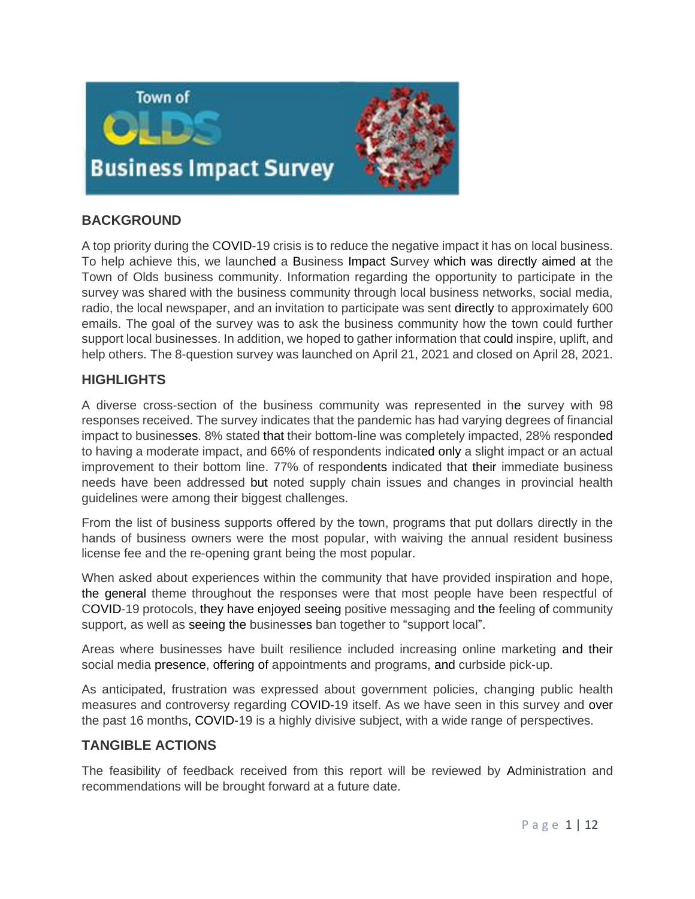

# **BACKGROUND**

A top priority during the COVID-19 crisis is to reduce the negative impact it has on local business. To help achieve this, we launched a Business Impact Survey which was directly aimed at the Town of Olds business community. Information regarding the opportunity to participate in the survey was shared with the business community through local business networks, social media, radio, the local newspaper, and an invitation to participate was sent directly to approximately 600 emails. The goal of the survey was to ask the business community how the town could further support local businesses. In addition, we hoped to gather information that could inspire, uplift, and help others. The 8-question survey was launched on April 21, 2021 and closed on April 28, 2021.

### **HIGHLIGHTS**

A diverse cross-section of the business community was represented in the survey with 98 responses received. The survey indicates that the pandemic has had varying degrees of financial impact to businesses. 8% stated that their bottom-line was completely impacted, 28% responded to having a moderate impact, and 66% of respondents indicated only a slight impact or an actual improvement to their bottom line. 77% of respondents indicated that their immediate business needs have been addressed but noted supply chain issues and changes in provincial health guidelines were among their biggest challenges.

From the list of business supports offered by the town, programs that put dollars directly in the hands of business owners were the most popular, with waiving the annual resident business license fee and the re-opening grant being the most popular.

When asked about experiences within the community that have provided inspiration and hope, the general theme throughout the responses were that most people have been respectful of COVID-19 protocols, they have enjoyed seeing positive messaging and the feeling of community support, as well as seeing the businesses ban together to "support local".

Areas where businesses have built resilience included increasing online marketing and their social media presence, offering of appointments and programs, and curbside pick-up.

As anticipated, frustration was expressed about government policies, changing public health measures and controversy regarding COVID-19 itself. As we have seen in this survey and over the past 16 months, COVID-19 is a highly divisive subject, with a wide range of perspectives.

### **TANGIBLE ACTIONS**

The feasibility of feedback received from this report will be reviewed by Administration and recommendations will be brought forward at a future date.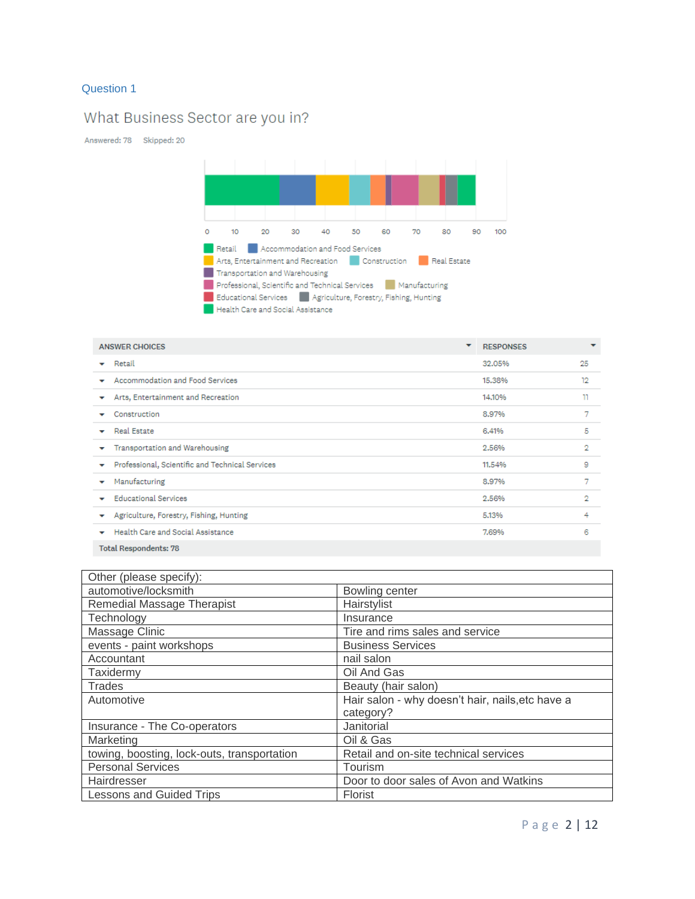# What Business Sector are you in?

Answered: 78 Skipped: 20



| <b>ANSWER CHOICES</b>                                | ▼ | <b>RESPONSES</b> | $\overline{\phantom{a}}$ |  |
|------------------------------------------------------|---|------------------|--------------------------|--|
| Retail<br>$\overline{\phantom{a}}$                   |   | 32.05%           | 25                       |  |
| Accommodation and Food Services                      |   | 15,38%           | 12                       |  |
| Arts, Entertainment and Recreation<br>v              |   | 14.10%           | π                        |  |
| Construction                                         |   | 8.97%            | 7                        |  |
| <b>Real Estate</b><br>$\tilde{\phantom{a}}$          |   | 6.41%            | 5                        |  |
| Transportation and Warehousing<br>v                  |   | 2.56%            | 2                        |  |
| Professional, Scientific and Technical Services<br>v |   | 11.54%           | 9                        |  |
| Manufacturing<br>▼                                   |   | 8,97%            | 7                        |  |
| <b>Educational Services</b>                          |   | 2.56%            | 2                        |  |
| Agriculture, Forestry, Fishing, Hunting<br>v         |   | 5.13%            | 4                        |  |
| Health Care and Social Assistance<br>٠               |   | 7.69%            | 6                        |  |
| <b>Total Respondents: 78</b>                         |   |                  |                          |  |

| Other (please specify):                     |                                                  |  |
|---------------------------------------------|--------------------------------------------------|--|
| automotive/locksmith                        | Bowling center                                   |  |
| Remedial Massage Therapist                  | Hairstylist                                      |  |
| Technology                                  | Insurance                                        |  |
| Massage Clinic                              | Tire and rims sales and service                  |  |
| events - paint workshops                    | <b>Business Services</b>                         |  |
| Accountant                                  | nail salon                                       |  |
| Taxidermy                                   | Oil And Gas                                      |  |
| <b>Trades</b>                               | Beauty (hair salon)                              |  |
| Automotive                                  | Hair salon - why doesn't hair, nails, etc have a |  |
|                                             | category?                                        |  |
| Insurance - The Co-operators                | Janitorial                                       |  |
| Marketing                                   | Oil & Gas                                        |  |
| towing, boosting, lock-outs, transportation | Retail and on-site technical services            |  |
| <b>Personal Services</b>                    | Tourism                                          |  |
| Hairdresser                                 | Door to door sales of Avon and Watkins           |  |
| <b>Lessons and Guided Trips</b>             | <b>Florist</b>                                   |  |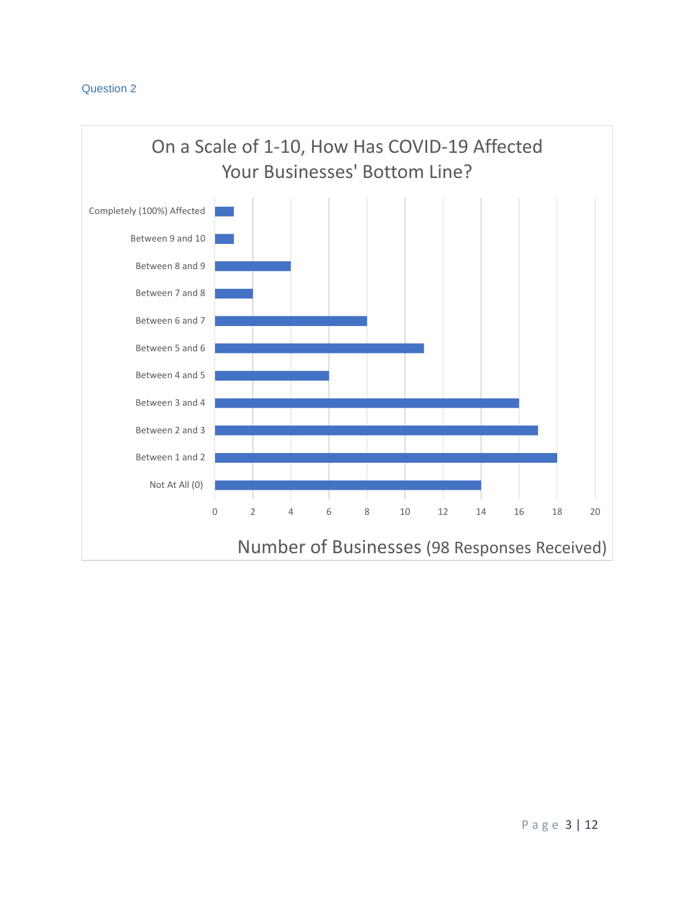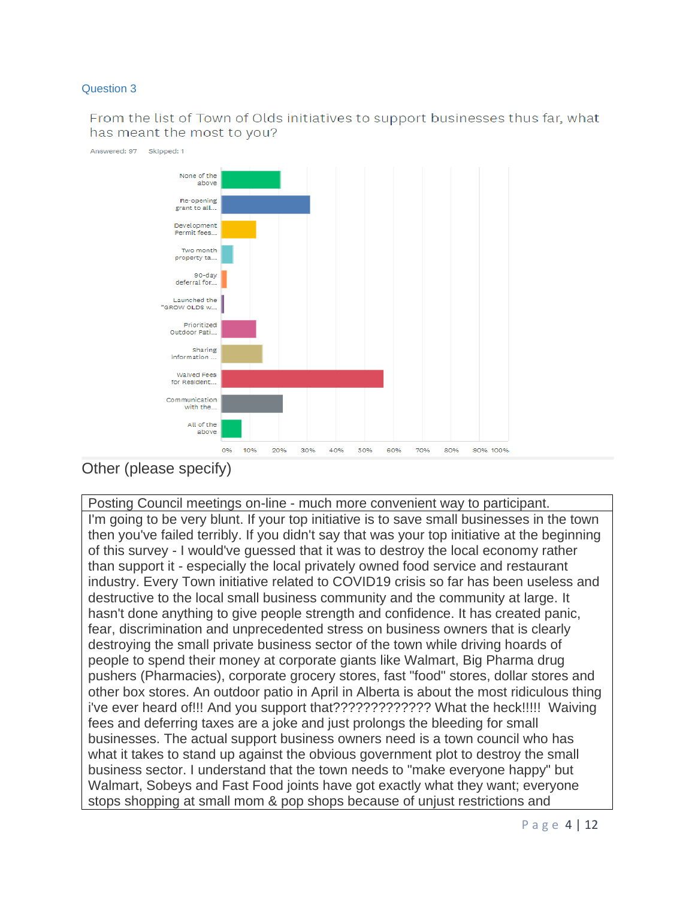From the list of Town of Olds initiatives to support businesses thus far, what has meant the most to you?



Other (please specify)

Posting Council meetings on-line - much more convenient way to participant. I'm going to be very blunt. If your top initiative is to save small businesses in the town then you've failed terribly. If you didn't say that was your top initiative at the beginning of this survey - I would've guessed that it was to destroy the local economy rather than support it - especially the local privately owned food service and restaurant industry. Every Town initiative related to COVID19 crisis so far has been useless and destructive to the local small business community and the community at large. It hasn't done anything to give people strength and confidence. It has created panic, fear, discrimination and unprecedented stress on business owners that is clearly destroying the small private business sector of the town while driving hoards of people to spend their money at corporate giants like Walmart, Big Pharma drug pushers (Pharmacies), corporate grocery stores, fast "food" stores, dollar stores and other box stores. An outdoor patio in April in Alberta is about the most ridiculous thing i've ever heard of!!! And you support that????????????? What the heck!!!!! Waiving fees and deferring taxes are a joke and just prolongs the bleeding for small businesses. The actual support business owners need is a town council who has what it takes to stand up against the obvious government plot to destroy the small business sector. I understand that the town needs to "make everyone happy" but Walmart, Sobeys and Fast Food joints have got exactly what they want; everyone stops shopping at small mom & pop shops because of unjust restrictions and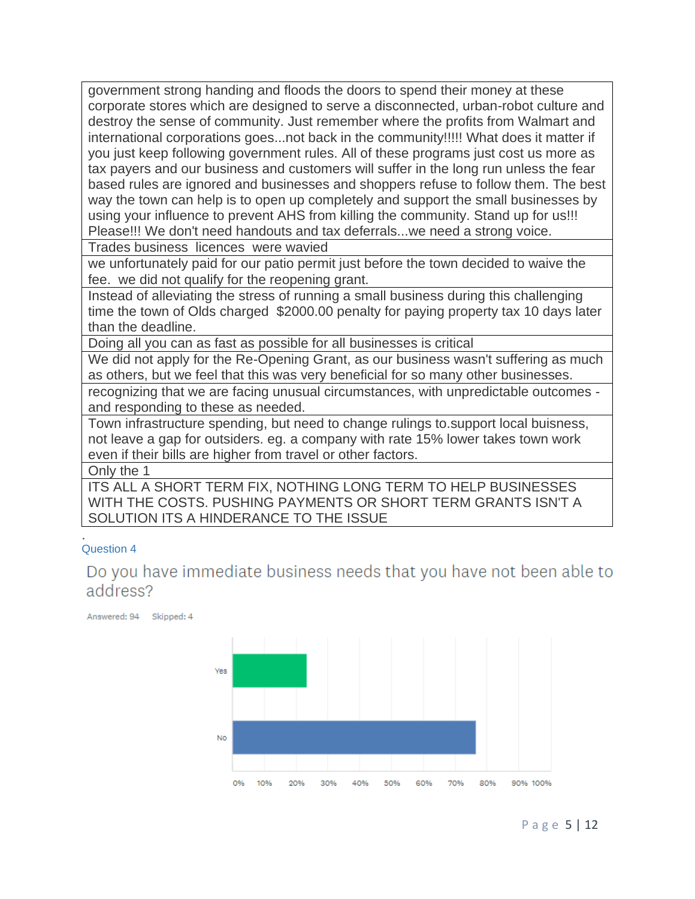government strong handing and floods the doors to spend their money at these corporate stores which are designed to serve a disconnected, urban-robot culture and destroy the sense of community. Just remember where the profits from Walmart and international corporations goes...not back in the community!!!!! What does it matter if you just keep following government rules. All of these programs just cost us more as tax payers and our business and customers will suffer in the long run unless the fear based rules are ignored and businesses and shoppers refuse to follow them. The best way the town can help is to open up completely and support the small businesses by using your influence to prevent AHS from killing the community. Stand up for us!!! Please!!! We don't need handouts and tax deferrals...we need a strong voice.

Trades business licences were wavied

we unfortunately paid for our patio permit just before the town decided to waive the fee. we did not qualify for the reopening grant.

Instead of alleviating the stress of running a small business during this challenging time the town of Olds charged \$2000.00 penalty for paying property tax 10 days later than the deadline.

Doing all you can as fast as possible for all businesses is critical

We did not apply for the Re-Opening Grant, as our business wasn't suffering as much as others, but we feel that this was very beneficial for so many other businesses.

recognizing that we are facing unusual circumstances, with unpredictable outcomes and responding to these as needed.

Town infrastructure spending, but need to change rulings to.support local buisness, not leave a gap for outsiders. eg. a company with rate 15% lower takes town work even if their bills are higher from travel or other factors.

Only the 1

ITS ALL A SHORT TERM FIX, NOTHING LONG TERM TO HELP BUSINESSES WITH THE COSTS. PUSHING PAYMENTS OR SHORT TERM GRANTS ISN'T A SOLUTION ITS A HINDERANCE TO THE ISSUE

### . Question 4

Do you have immediate business needs that you have not been able to address?

Answered: 94 Skipped: 4

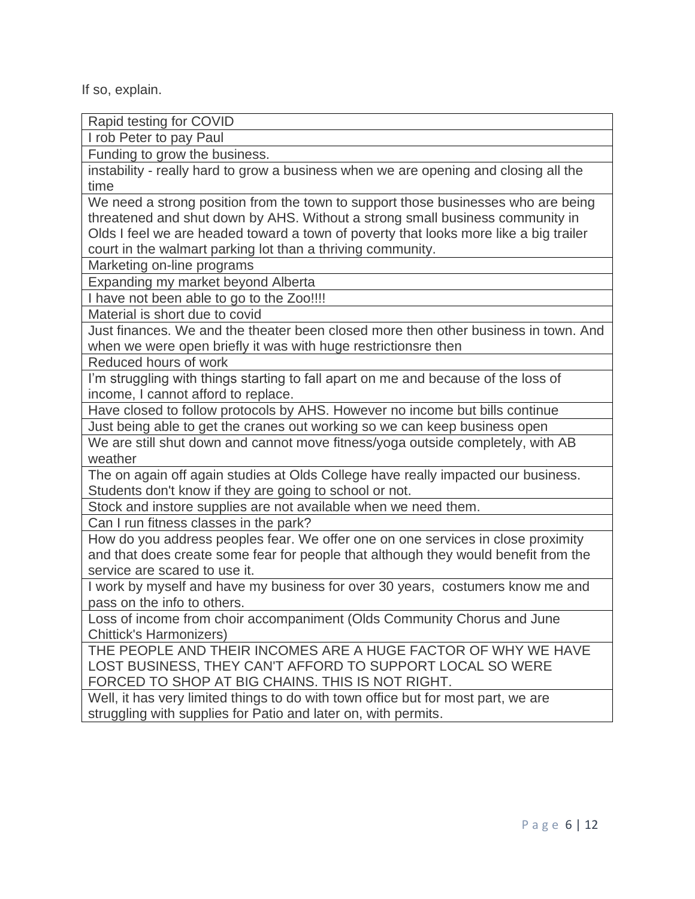If so, explain.

Rapid testing for COVID I rob Peter to pay Paul Funding to grow the business. instability - really hard to grow a business when we are opening and closing all the time We need a strong position from the town to support those businesses who are being threatened and shut down by AHS. Without a strong small business community in Olds I feel we are headed toward a town of poverty that looks more like a big trailer court in the walmart parking lot than a thriving community. Marketing on-line programs Expanding my market beyond Alberta I have not been able to go to the Zoo!!!! Material is short due to covid Just finances. We and the theater been closed more then other business in town. And when we were open briefly it was with huge restrictionsre then Reduced hours of work I'm struggling with things starting to fall apart on me and because of the loss of income, I cannot afford to replace. Have closed to follow protocols by AHS. However no income but bills continue Just being able to get the cranes out working so we can keep business open We are still shut down and cannot move fitness/yoga outside completely, with AB weather The on again off again studies at Olds College have really impacted our business. Students don't know if they are going to school or not. Stock and instore supplies are not available when we need them. Can I run fitness classes in the park?

How do you address peoples fear. We offer one on one services in close proximity and that does create some fear for people that although they would benefit from the service are scared to use it.

I work by myself and have my business for over 30 years, costumers know me and pass on the info to others.

Loss of income from choir accompaniment (Olds Community Chorus and June Chittick's Harmonizers)

THE PEOPLE AND THEIR INCOMES ARE A HUGE FACTOR OF WHY WE HAVE LOST BUSINESS, THEY CAN'T AFFORD TO SUPPORT LOCAL SO WERE FORCED TO SHOP AT BIG CHAINS. THIS IS NOT RIGHT.

Well, it has very limited things to do with town office but for most part, we are struggling with supplies for Patio and later on, with permits.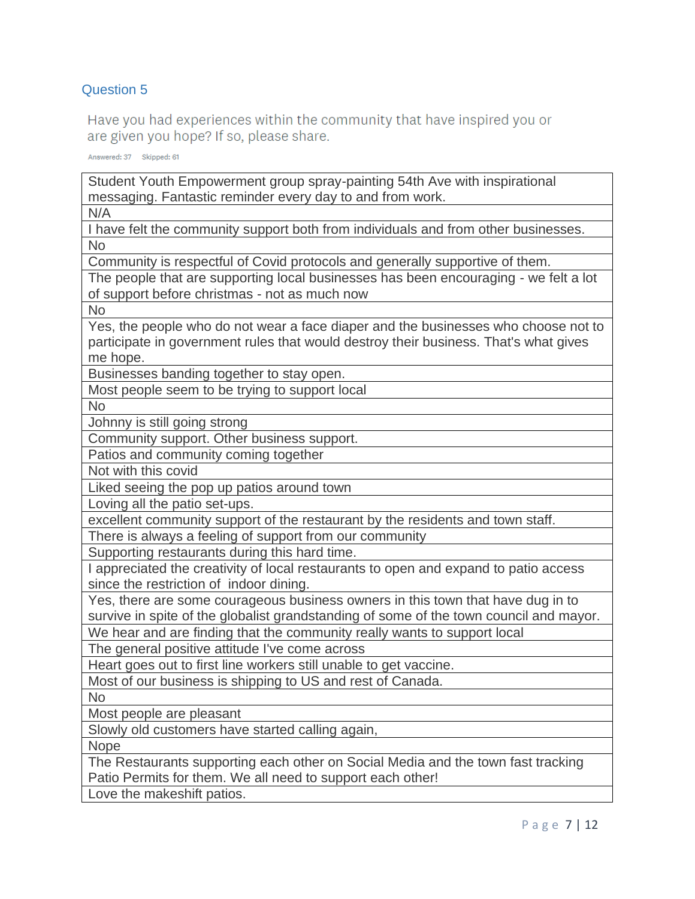Have you had experiences within the community that have inspired you or are given you hope? If so, please share.

Answered: 37 Skipped: 61

Student Youth Empowerment group spray-painting 54th Ave with inspirational messaging. Fantastic reminder every day to and from work.

N/A

I have felt the community support both from individuals and from other businesses. No

Community is respectful of Covid protocols and generally supportive of them.

The people that are supporting local businesses has been encouraging - we felt a lot of support before christmas - not as much now

No

Yes, the people who do not wear a face diaper and the businesses who choose not to participate in government rules that would destroy their business. That's what gives me hope.

Businesses banding together to stay open.

Most people seem to be trying to support local

No

Johnny is still going strong

Community support. Other business support.

Patios and community coming together

Not with this covid

Liked seeing the pop up patios around town

Loving all the patio set-ups.

excellent community support of the restaurant by the residents and town staff.

There is always a feeling of support from our community

Supporting restaurants during this hard time.

I appreciated the creativity of local restaurants to open and expand to patio access since the restriction of indoor dining.

Yes, there are some courageous business owners in this town that have dug in to survive in spite of the globalist grandstanding of some of the town council and mayor.

We hear and are finding that the community really wants to support local

The general positive attitude I've come across

Heart goes out to first line workers still unable to get vaccine.

Most of our business is shipping to US and rest of Canada.

No

Most people are pleasant

Slowly old customers have started calling again,

Nope

The Restaurants supporting each other on Social Media and the town fast tracking Patio Permits for them. We all need to support each other!

Love the makeshift patios.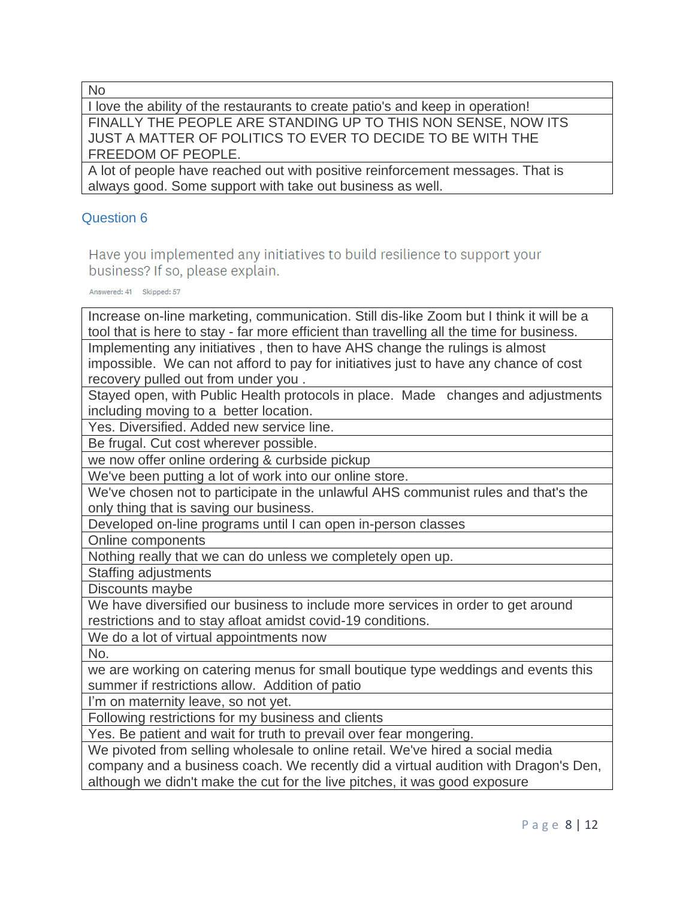No

I love the ability of the restaurants to create patio's and keep in operation! FINALLY THE PEOPLE ARE STANDING UP TO THIS NON SENSE, NOW ITS JUST A MATTER OF POLITICS TO EVER TO DECIDE TO BE WITH THE FREEDOM OF PEOPLE.

A lot of people have reached out with positive reinforcement messages. That is always good. Some support with take out business as well.

# Question 6

Have you implemented any initiatives to build resilience to support your business? If so, please explain.

Answered: 41 Skipped: 57

Increase on-line marketing, communication. Still dis-like Zoom but I think it will be a tool that is here to stay - far more efficient than travelling all the time for business. Implementing any initiatives , then to have AHS change the rulings is almost impossible. We can not afford to pay for initiatives just to have any chance of cost recovery pulled out from under you .

Stayed open, with Public Health protocols in place. Made changes and adjustments including moving to a better location.

Yes. Diversified. Added new service line.

Be frugal. Cut cost wherever possible.

we now offer online ordering & curbside pickup

We've been putting a lot of work into our online store.

We've chosen not to participate in the unlawful AHS communist rules and that's the only thing that is saving our business.

Developed on-line programs until I can open in-person classes

Online components

Nothing really that we can do unless we completely open up.

Staffing adjustments

Discounts maybe

We have diversified our business to include more services in order to get around restrictions and to stay afloat amidst covid-19 conditions.

We do a lot of virtual appointments now

No.

we are working on catering menus for small boutique type weddings and events this summer if restrictions allow. Addition of patio

I'm on maternity leave, so not yet.

Following restrictions for my business and clients

Yes. Be patient and wait for truth to prevail over fear mongering.

We pivoted from selling wholesale to online retail. We've hired a social media

company and a business coach. We recently did a virtual audition with Dragon's Den, although we didn't make the cut for the live pitches, it was good exposure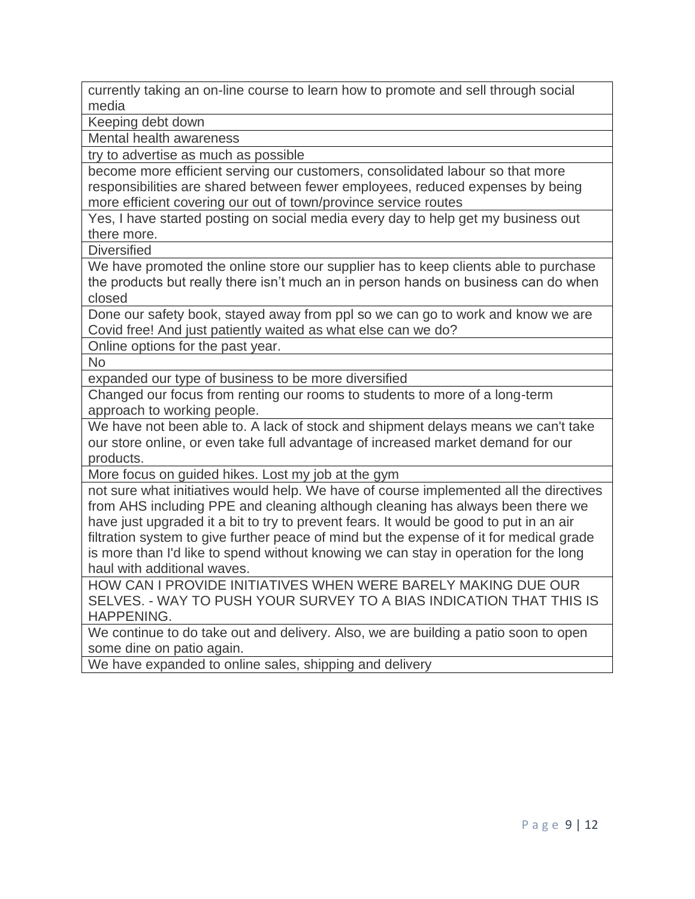currently taking an on-line course to learn how to promote and sell through social media

Keeping debt down

Mental health awareness

try to advertise as much as possible

become more efficient serving our customers, consolidated labour so that more responsibilities are shared between fewer employees, reduced expenses by being more efficient covering our out of town/province service routes

Yes, I have started posting on social media every day to help get my business out there more.

**Diversified** 

We have promoted the online store our supplier has to keep clients able to purchase the products but really there isn't much an in person hands on business can do when closed

Done our safety book, stayed away from ppl so we can go to work and know we are Covid free! And just patiently waited as what else can we do?

Online options for the past year.

No

expanded our type of business to be more diversified

Changed our focus from renting our rooms to students to more of a long-term approach to working people.

We have not been able to. A lack of stock and shipment delays means we can't take our store online, or even take full advantage of increased market demand for our products.

More focus on guided hikes. Lost my job at the gym

not sure what initiatives would help. We have of course implemented all the directives from AHS including PPE and cleaning although cleaning has always been there we have just upgraded it a bit to try to prevent fears. It would be good to put in an air filtration system to give further peace of mind but the expense of it for medical grade is more than I'd like to spend without knowing we can stay in operation for the long haul with additional waves.

HOW CAN I PROVIDE INITIATIVES WHEN WERE BARELY MAKING DUE OUR SELVES. - WAY TO PUSH YOUR SURVEY TO A BIAS INDICATION THAT THIS IS HAPPENING.

We continue to do take out and delivery. Also, we are building a patio soon to open some dine on patio again.

We have expanded to online sales, shipping and delivery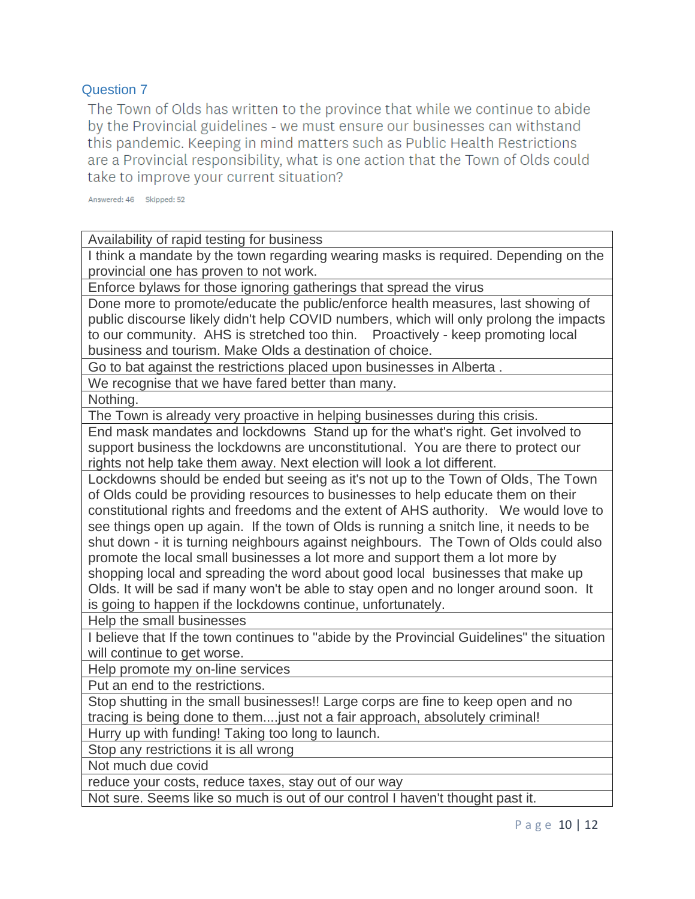The Town of Olds has written to the province that while we continue to abide by the Provincial guidelines - we must ensure our businesses can withstand this pandemic. Keeping in mind matters such as Public Health Restrictions are a Provincial responsibility, what is one action that the Town of Olds could take to improve your current situation?

Answered: 46 Skipped: 52

Availability of rapid testing for business

I think a mandate by the town regarding wearing masks is required. Depending on the provincial one has proven to not work.

Enforce bylaws for those ignoring gatherings that spread the virus

Done more to promote/educate the public/enforce health measures, last showing of public discourse likely didn't help COVID numbers, which will only prolong the impacts to our community. AHS is stretched too thin. Proactively - keep promoting local business and tourism. Make Olds a destination of choice.

Go to bat against the restrictions placed upon businesses in Alberta .

We recognise that we have fared better than many.

Nothing.

The Town is already very proactive in helping businesses during this crisis.

End mask mandates and lockdowns Stand up for the what's right. Get involved to support business the lockdowns are unconstitutional. You are there to protect our rights not help take them away. Next election will look a lot different.

Lockdowns should be ended but seeing as it's not up to the Town of Olds, The Town of Olds could be providing resources to businesses to help educate them on their constitutional rights and freedoms and the extent of AHS authority. We would love to see things open up again. If the town of Olds is running a snitch line, it needs to be shut down - it is turning neighbours against neighbours. The Town of Olds could also promote the local small businesses a lot more and support them a lot more by shopping local and spreading the word about good local businesses that make up Olds. It will be sad if many won't be able to stay open and no longer around soon. It is going to happen if the lockdowns continue, unfortunately.

Help the small businesses

I believe that If the town continues to "abide by the Provincial Guidelines" the situation will continue to get worse.

Help promote my on-line services

Put an end to the restrictions.

Stop shutting in the small businesses!! Large corps are fine to keep open and no tracing is being done to them....just not a fair approach, absolutely criminal!

Hurry up with funding! Taking too long to launch.

Stop any restrictions it is all wrong

Not much due covid

reduce your costs, reduce taxes, stay out of our way

Not sure. Seems like so much is out of our control I haven't thought past it.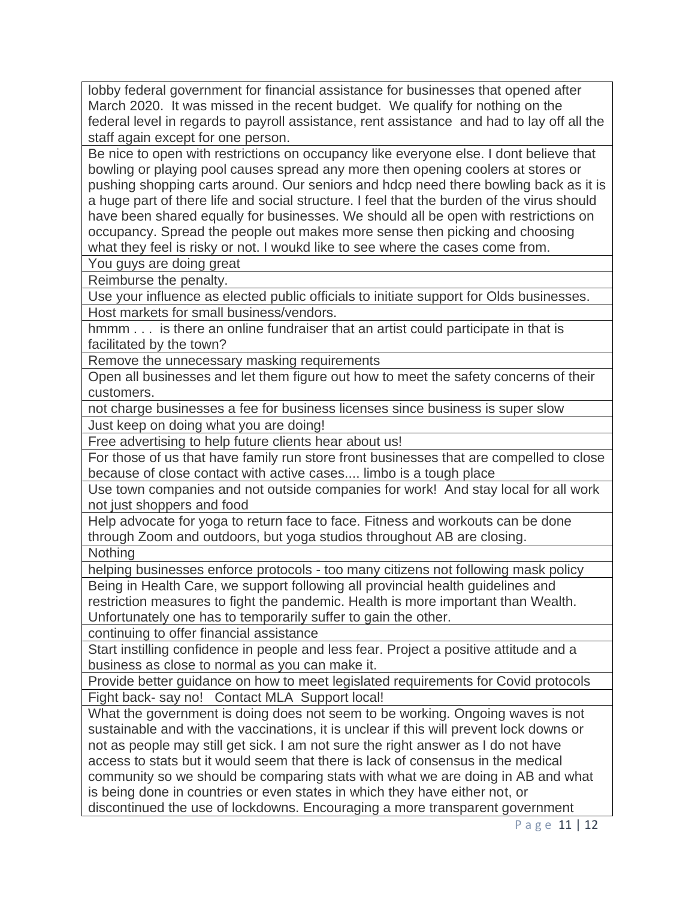lobby federal government for financial assistance for businesses that opened after March 2020. It was missed in the recent budget. We qualify for nothing on the federal level in regards to payroll assistance, rent assistance and had to lay off all the staff again except for one person.

Be nice to open with restrictions on occupancy like everyone else. I dont believe that bowling or playing pool causes spread any more then opening coolers at stores or pushing shopping carts around. Our seniors and hdcp need there bowling back as it is a huge part of there life and social structure. I feel that the burden of the virus should have been shared equally for businesses. We should all be open with restrictions on occupancy. Spread the people out makes more sense then picking and choosing what they feel is risky or not. I woukd like to see where the cases come from.

You guys are doing great

Reimburse the penalty.

Use your influence as elected public officials to initiate support for Olds businesses. Host markets for small business/vendors.

hmmm . . . is there an online fundraiser that an artist could participate in that is facilitated by the town?

Remove the unnecessary masking requirements

Open all businesses and let them figure out how to meet the safety concerns of their customers.

not charge businesses a fee for business licenses since business is super slow Just keep on doing what you are doing!

Free advertising to help future clients hear about us!

For those of us that have family run store front businesses that are compelled to close because of close contact with active cases.... limbo is a tough place

Use town companies and not outside companies for work! And stay local for all work not just shoppers and food

Help advocate for yoga to return face to face. Fitness and workouts can be done through Zoom and outdoors, but yoga studios throughout AB are closing.

**Nothing** 

helping businesses enforce protocols - too many citizens not following mask policy

Being in Health Care, we support following all provincial health guidelines and restriction measures to fight the pandemic. Health is more important than Wealth. Unfortunately one has to temporarily suffer to gain the other.

continuing to offer financial assistance

Start instilling confidence in people and less fear. Project a positive attitude and a business as close to normal as you can make it.

Provide better guidance on how to meet legislated requirements for Covid protocols Fight back- say no! Contact MLA Support local!

What the government is doing does not seem to be working. Ongoing waves is not sustainable and with the vaccinations, it is unclear if this will prevent lock downs or not as people may still get sick. I am not sure the right answer as I do not have access to stats but it would seem that there is lack of consensus in the medical community so we should be comparing stats with what we are doing in AB and what is being done in countries or even states in which they have either not, or discontinued the use of lockdowns. Encouraging a more transparent government